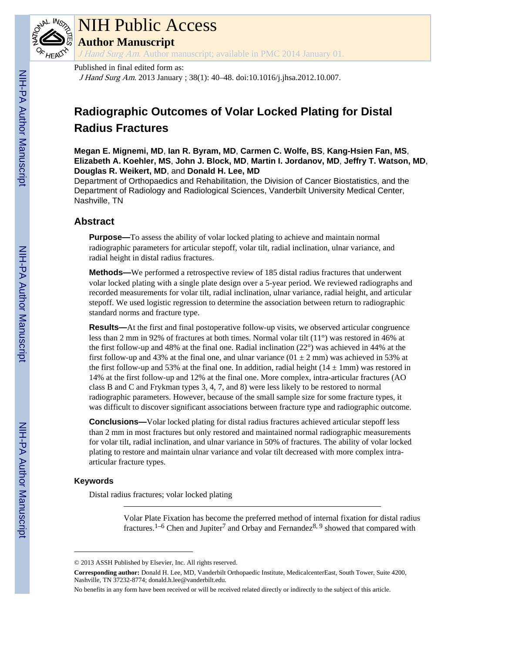

## NIH Public Access

**Author Manuscript**

J Hand Surg Am. Author manuscript; available in PMC 2014 January 01

#### Published in final edited form as:

J Hand Surg Am. 2013 January ; 38(1): 40–48. doi:10.1016/j.jhsa.2012.10.007.

### **Radiographic Outcomes of Volar Locked Plating for Distal Radius Fractures**

**Megan E. Mignemi, MD**, **Ian R. Byram, MD**, **Carmen C. Wolfe, BS**, **Kang-Hsien Fan, MS**, **Elizabeth A. Koehler, MS**, **John J. Block, MD**, **Martin I. Jordanov, MD**, **Jeffry T. Watson, MD**, **Douglas R. Weikert, MD**, and **Donald H. Lee, MD**

Department of Orthopaedics and Rehabilitation, the Division of Cancer Biostatistics, and the Department of Radiology and Radiological Sciences, Vanderbilt University Medical Center, Nashville, TN

#### **Abstract**

**Purpose—**To assess the ability of volar locked plating to achieve and maintain normal radiographic parameters for articular stepoff, volar tilt, radial inclination, ulnar variance, and radial height in distal radius fractures.

**Methods—**We performed a retrospective review of 185 distal radius fractures that underwent volar locked plating with a single plate design over a 5-year period. We reviewed radiographs and recorded measurements for volar tilt, radial inclination, ulnar variance, radial height, and articular stepoff. We used logistic regression to determine the association between return to radiographic standard norms and fracture type.

**Results—**At the first and final postoperative follow-up visits, we observed articular congruence less than 2 mm in 92% of fractures at both times. Normal volar tilt (11°) was restored in 46% at the first follow-up and 48% at the final one. Radial inclination  $(22^{\circ})$  was achieved in 44% at the first follow-up and 43% at the final one, and ulnar variance  $(01 \pm 2 \text{ mm})$  was achieved in 53% at the first follow-up and 53% at the final one. In addition, radial height  $(14 \pm 1 \text{mm})$  was restored in 14% at the first follow-up and 12% at the final one. More complex, intra-articular fractures (AO class B and C and Frykman types 3, 4, 7, and 8) were less likely to be restored to normal radiographic parameters. However, because of the small sample size for some fracture types, it was difficult to discover significant associations between fracture type and radiographic outcome.

**Conclusions—**Volar locked plating for distal radius fractures achieved articular stepoff less than 2 mm in most fractures but only restored and maintained normal radiographic measurements for volar tilt, radial inclination, and ulnar variance in 50% of fractures. The ability of volar locked plating to restore and maintain ulnar variance and volar tilt decreased with more complex intraarticular fracture types.

#### **Keywords**

Distal radius fractures; volar locked plating

Volar Plate Fixation has become the preferred method of internal fixation for distal radius fractures.<sup>1–6</sup> Chen and Jupiter<sup>7</sup> and Orbay and Fernandez<sup>8, 9</sup> showed that compared with

<sup>© 2013</sup> ASSH Published by Elsevier, Inc. All rights reserved.

**Corresponding author:** Donald H. Lee, MD, Vanderbilt Orthopaedic Institute, MedicalcenterEast, South Tower, Suite 4200, Nashville, TN 37232-8774; donald.h.lee@vanderbilt.edu.

No benefits in any form have been received or will be received related directly or indirectly to the subject of this article.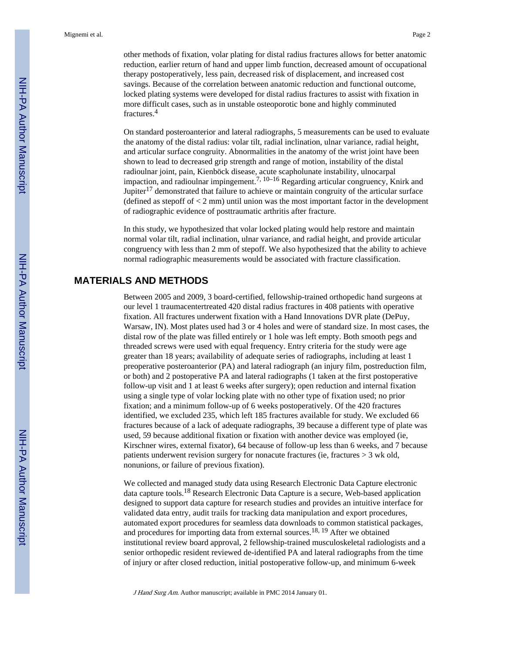other methods of fixation, volar plating for distal radius fractures allows for better anatomic reduction, earlier return of hand and upper limb function, decreased amount of occupational therapy postoperatively, less pain, decreased risk of displacement, and increased cost savings. Because of the correlation between anatomic reduction and functional outcome, locked plating systems were developed for distal radius fractures to assist with fixation in more difficult cases, such as in unstable osteoporotic bone and highly comminuted fractures.<sup>4</sup>

On standard posteroanterior and lateral radiographs, 5 measurements can be used to evaluate the anatomy of the distal radius: volar tilt, radial inclination, ulnar variance, radial height, and articular surface congruity. Abnormalities in the anatomy of the wrist joint have been shown to lead to decreased grip strength and range of motion, instability of the distal radioulnar joint, pain, Kienböck disease, acute scapholunate instability, ulnocarpal impaction, and radioulnar impingement.<sup>7, 10–16</sup> Regarding articular congruency, Knirk and Jupiter<sup>17</sup> demonstrated that failure to achieve or maintain congruity of the articular surface (defined as stepoff of  $\lt 2$  mm) until union was the most important factor in the development of radiographic evidence of posttraumatic arthritis after fracture.

In this study, we hypothesized that volar locked plating would help restore and maintain normal volar tilt, radial inclination, ulnar variance, and radial height, and provide articular congruency with less than 2 mm of stepoff. We also hypothesized that the ability to achieve normal radiographic measurements would be associated with fracture classification.

#### **MATERIALS AND METHODS**

Between 2005 and 2009, 3 board-certified, fellowship-trained orthopedic hand surgeons at our level 1 traumacentertreated 420 distal radius fractures in 408 patients with operative fixation. All fractures underwent fixation with a Hand Innovations DVR plate (DePuy, Warsaw, IN). Most plates used had 3 or 4 holes and were of standard size. In most cases, the distal row of the plate was filled entirely or 1 hole was left empty. Both smooth pegs and threaded screws were used with equal frequency. Entry criteria for the study were age greater than 18 years; availability of adequate series of radiographs, including at least 1 preoperative posteroanterior (PA) and lateral radiograph (an injury film, postreduction film, or both) and 2 postoperative PA and lateral radiographs (1 taken at the first postoperative follow-up visit and 1 at least 6 weeks after surgery); open reduction and internal fixation using a single type of volar locking plate with no other type of fixation used; no prior fixation; and a minimum follow-up of 6 weeks postoperatively. Of the 420 fractures identified, we excluded 235, which left 185 fractures available for study. We excluded 66 fractures because of a lack of adequate radiographs, 39 because a different type of plate was used, 59 because additional fixation or fixation with another device was employed (ie, Kirschner wires, external fixator), 64 because of follow-up less than 6 weeks, and 7 because patients underwent revision surgery for nonacute fractures (ie, fractures > 3 wk old, nonunions, or failure of previous fixation).

We collected and managed study data using Research Electronic Data Capture electronic data capture tools.18 Research Electronic Data Capture is a secure, Web-based application designed to support data capture for research studies and provides an intuitive interface for validated data entry, audit trails for tracking data manipulation and export procedures, automated export procedures for seamless data downloads to common statistical packages, and procedures for importing data from external sources.<sup>18, 19</sup> After we obtained institutional review board approval, 2 fellowship-trained musculoskeletal radiologists and a senior orthopedic resident reviewed de-identified PA and lateral radiographs from the time of injury or after closed reduction, initial postoperative follow-up, and minimum 6-week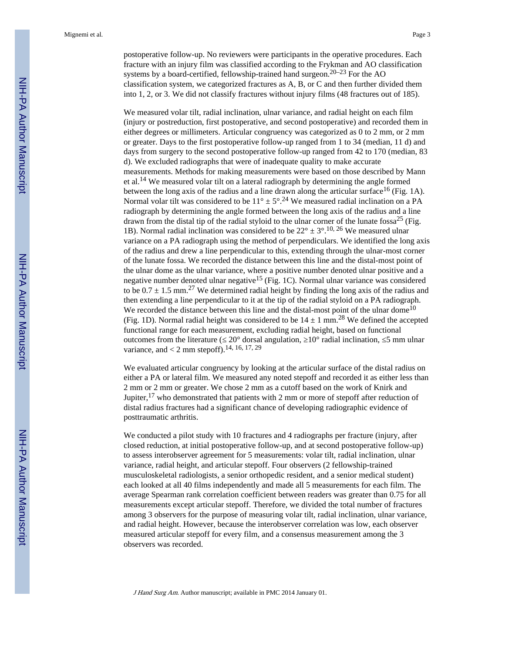postoperative follow-up. No reviewers were participants in the operative procedures. Each fracture with an injury film was classified according to the Frykman and AO classification systems by a board-certified, fellowship-trained hand surgeon.<sup>20–23</sup> For the AO classification system, we categorized fractures as A, B, or C and then further divided them into 1, 2, or 3. We did not classify fractures without injury films (48 fractures out of 185).

We measured volar tilt, radial inclination, ulnar variance, and radial height on each film (injury or postreduction, first postoperative, and second postoperative) and recorded them in either degrees or millimeters. Articular congruency was categorized as 0 to 2 mm, or 2 mm or greater. Days to the first postoperative follow-up ranged from 1 to 34 (median, 11 d) and days from surgery to the second postoperative follow-up ranged from 42 to 170 (median, 83 d). We excluded radiographs that were of inadequate quality to make accurate measurements. Methods for making measurements were based on those described by Mann et al.14 We measured volar tilt on a lateral radiograph by determining the angle formed between the long axis of the radius and a line drawn along the articular surface  $^{16}$  (Fig. 1A). Normal volar tilt was considered to be  $11^{\circ} \pm 5^{\circ}$ .<sup>24</sup> We measured radial inclination on a PA radiograph by determining the angle formed between the long axis of the radius and a line drawn from the distal tip of the radial styloid to the ulnar corner of the lunate fossa<sup>25</sup> (Fig. 1B). Normal radial inclination was considered to be  $22^{\circ} \pm 3^{\circ}$ . <sup>10, 26</sup> We measured ulnar variance on a PA radiograph using the method of perpendiculars. We identified the long axis of the radius and drew a line perpendicular to this, extending through the ulnar-most corner of the lunate fossa. We recorded the distance between this line and the distal-most point of the ulnar dome as the ulnar variance, where a positive number denoted ulnar positive and a negative number denoted ulnar negative<sup>15</sup> (Fig. 1C). Normal ulnar variance was considered to be  $0.7 \pm 1.5$  mm.<sup>27</sup> We determined radial height by finding the long axis of the radius and then extending a line perpendicular to it at the tip of the radial styloid on a PA radiograph. We recorded the distance between this line and the distal-most point of the ulnar dome<sup>10</sup> (Fig. 1D). Normal radial height was considered to be  $14 \pm 1$  mm.<sup>28</sup> We defined the accepted functional range for each measurement, excluding radial height, based on functional outcomes from the literature ( $20^{\circ}$  dorsal angulation,  $10^{\circ}$  radial inclination, 5 mm ulnar variance, and  $< 2$  mm stepoff).<sup>14, 16, 17, 29</sup>

We evaluated articular congruency by looking at the articular surface of the distal radius on either a PA or lateral film. We measured any noted stepoff and recorded it as either less than 2 mm or 2 mm or greater. We chose 2 mm as a cutoff based on the work of Knirk and Jupiter,<sup>17</sup> who demonstrated that patients with 2 mm or more of stepoff after reduction of distal radius fractures had a significant chance of developing radiographic evidence of posttraumatic arthritis.

We conducted a pilot study with 10 fractures and 4 radiographs per fracture (injury, after closed reduction, at initial postoperative follow-up, and at second postoperative follow-up) to assess interobserver agreement for 5 measurements: volar tilt, radial inclination, ulnar variance, radial height, and articular stepoff. Four observers (2 fellowship-trained musculoskeletal radiologists, a senior orthopedic resident, and a senior medical student) each looked at all 40 films independently and made all 5 measurements for each film. The average Spearman rank correlation coefficient between readers was greater than 0.75 for all measurements except articular stepoff. Therefore, we divided the total number of fractures among 3 observers for the purpose of measuring volar tilt, radial inclination, ulnar variance, and radial height. However, because the interobserver correlation was low, each observer measured articular stepoff for every film, and a consensus measurement among the 3 observers was recorded.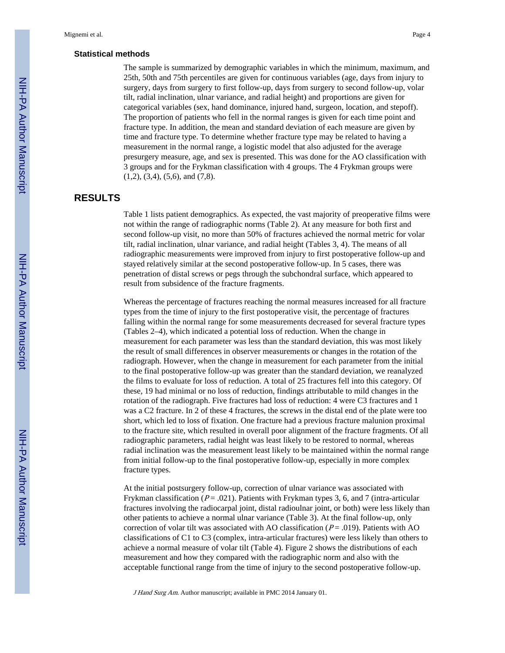#### **Statistical methods**

The sample is summarized by demographic variables in which the minimum, maximum, and 25th, 50th and 75th percentiles are given for continuous variables (age, days from injury to surgery, days from surgery to first follow-up, days from surgery to second follow-up, volar tilt, radial inclination, ulnar variance, and radial height) and proportions are given for categorical variables (sex, hand dominance, injured hand, surgeon, location, and stepoff). The proportion of patients who fell in the normal ranges is given for each time point and fracture type. In addition, the mean and standard deviation of each measure are given by time and fracture type. To determine whether fracture type may be related to having a measurement in the normal range, a logistic model that also adjusted for the average presurgery measure, age, and sex is presented. This was done for the AO classification with 3 groups and for the Frykman classification with 4 groups. The 4 Frykman groups were (1,2), (3,4), (5,6), and (7,8).

#### **RESULTS**

Table 1 lists patient demographics. As expected, the vast majority of preoperative films were not within the range of radiographic norms (Table 2). At any measure for both first and second follow-up visit, no more than 50% of fractures achieved the normal metric for volar tilt, radial inclination, ulnar variance, and radial height (Tables 3, 4). The means of all radiographic measurements were improved from injury to first postoperative follow-up and stayed relatively similar at the second postoperative follow-up. In 5 cases, there was penetration of distal screws or pegs through the subchondral surface, which appeared to result from subsidence of the fracture fragments.

Whereas the percentage of fractures reaching the normal measures increased for all fracture types from the time of injury to the first postoperative visit, the percentage of fractures falling within the normal range for some measurements decreased for several fracture types (Tables 2–4), which indicated a potential loss of reduction. When the change in measurement for each parameter was less than the standard deviation, this was most likely the result of small differences in observer measurements or changes in the rotation of the radiograph. However, when the change in measurement for each parameter from the initial to the final postoperative follow-up was greater than the standard deviation, we reanalyzed the films to evaluate for loss of reduction. A total of 25 fractures fell into this category. Of these, 19 had minimal or no loss of reduction, findings attributable to mild changes in the rotation of the radiograph. Five fractures had loss of reduction: 4 were C3 fractures and 1 was a C2 fracture. In 2 of these 4 fractures, the screws in the distal end of the plate were too short, which led to loss of fixation. One fracture had a previous fracture malunion proximal to the fracture site, which resulted in overall poor alignment of the fracture fragments. Of all radiographic parameters, radial height was least likely to be restored to normal, whereas radial inclination was the measurement least likely to be maintained within the normal range from initial follow-up to the final postoperative follow-up, especially in more complex fracture types.

At the initial postsurgery follow-up, correction of ulnar variance was associated with Frykman classification ( $P = .021$ ). Patients with Frykman types 3, 6, and 7 (intra-articular fractures involving the radiocarpal joint, distal radioulnar joint, or both) were less likely than other patients to achieve a normal ulnar variance (Table 3). At the final follow-up, only correction of volar tilt was associated with AO classification ( $P = .019$ ). Patients with AO classifications of C1 to C3 (complex, intra-articular fractures) were less likely than others to achieve a normal measure of volar tilt (Table 4). Figure 2 shows the distributions of each measurement and how they compared with the radiographic norm and also with the acceptable functional range from the time of injury to the second postoperative follow-up.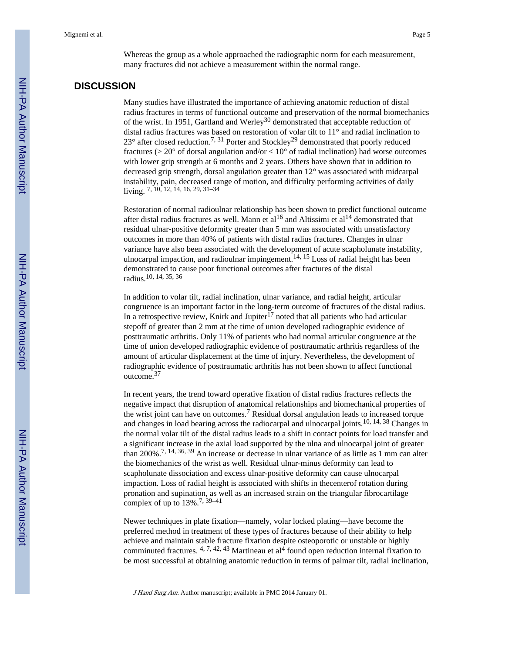Whereas the group as a whole approached the radiographic norm for each measurement, many fractures did not achieve a measurement within the normal range.

#### **DISCUSSION**

Many studies have illustrated the importance of achieving anatomic reduction of distal radius fractures in terms of functional outcome and preservation of the normal biomechanics of the wrist. In 1951, Gartland and Werley<sup>30</sup> demonstrated that acceptable reduction of distal radius fractures was based on restoration of volar tilt to 11° and radial inclination to  $23^{\circ}$  after closed reduction.<sup>7, 31</sup> Porter and Stockley<sup>29</sup> demonstrated that poorly reduced fractures ( $> 20^{\circ}$  of dorsal angulation and/or  $< 10^{\circ}$  of radial inclination) had worse outcomes with lower grip strength at 6 months and 2 years. Others have shown that in addition to decreased grip strength, dorsal angulation greater than 12° was associated with midcarpal instability, pain, decreased range of motion, and difficulty performing activities of daily living. 7, 10, 12, 14, 16, 29, 31–34

Restoration of normal radioulnar relationship has been shown to predict functional outcome after distal radius fractures as well. Mann et al<sup>16</sup> and Altissimi et al<sup>14</sup> demonstrated that residual ulnar-positive deformity greater than 5 mm was associated with unsatisfactory outcomes in more than 40% of patients with distal radius fractures. Changes in ulnar variance have also been associated with the development of acute scapholunate instability, ulnocarpal impaction, and radioulnar impingement.<sup>14, 15</sup> Loss of radial height has been demonstrated to cause poor functional outcomes after fractures of the distal radius.10, 14, 35, 36

In addition to volar tilt, radial inclination, ulnar variance, and radial height, articular congruence is an important factor in the long-term outcome of fractures of the distal radius. In a retrospective review, Knirk and Jupiter $17$  noted that all patients who had articular stepoff of greater than 2 mm at the time of union developed radiographic evidence of posttraumatic arthritis. Only 11% of patients who had normal articular congruence at the time of union developed radiographic evidence of posttraumatic arthritis regardless of the amount of articular displacement at the time of injury. Nevertheless, the development of radiographic evidence of posttraumatic arthritis has not been shown to affect functional outcome.<sup>37</sup>

In recent years, the trend toward operative fixation of distal radius fractures reflects the negative impact that disruption of anatomical relationships and biomechanical properties of the wrist joint can have on outcomes.<sup>7</sup> Residual dorsal angulation leads to increased torque and changes in load bearing across the radiocarpal and ulnocarpal joints.10, 14, 38 Changes in the normal volar tilt of the distal radius leads to a shift in contact points for load transfer and a significant increase in the axial load supported by the ulna and ulnocarpal joint of greater than 200%.7, 14, 36, 39 An increase or decrease in ulnar variance of as little as 1 mm can alter the biomechanics of the wrist as well. Residual ulnar-minus deformity can lead to scapholunate dissociation and excess ulnar-positive deformity can cause ulnocarpal impaction. Loss of radial height is associated with shifts in thecenterof rotation during pronation and supination, as well as an increased strain on the triangular fibrocartilage complex of up to 13%.7, 39–41

Newer techniques in plate fixation—namely, volar locked plating—have become the preferred method in treatment of these types of fractures because of their ability to help achieve and maintain stable fracture fixation despite osteoporotic or unstable or highly comminuted fractures.  $4, 7, 42, 43$  Martineau et al<sup>4</sup> found open reduction internal fixation to be most successful at obtaining anatomic reduction in terms of palmar tilt, radial inclination,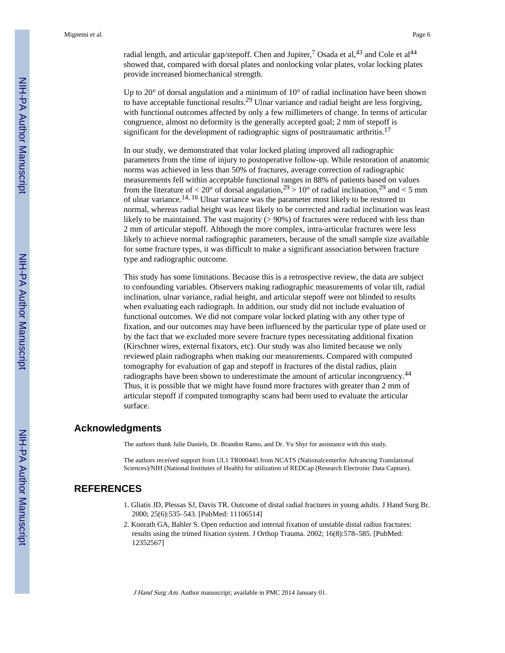radial length, and articular gap/stepoff. Chen and Jupiter,<sup>7</sup> Osada et al,<sup>43</sup> and Cole et al<sup>44</sup> showed that, compared with dorsal plates and nonlocking volar plates, volar locking plates provide increased biomechanical strength.

Up to 20° of dorsal angulation and a minimum of 10° of radial inclination have been shown to have acceptable functional results.29 Ulnar variance and radial height are less forgiving, with functional outcomes affected by only a few millimeters of change. In terms of articular congruence, almost no deformity is the generally accepted goal; 2 mm of stepoff is significant for the development of radiographic signs of posttraumatic arthritis.<sup>17</sup>

In our study, we demonstrated that volar locked plating improved all radiographic parameters from the time of injury to postoperative follow-up. While restoration of anatomic norms was achieved in less than 50% of fractures, average correction of radiographic measurements fell within acceptable functional ranges in 88% of patients based on values from the literature of  $\langle 20^{\circ}$  of dorsal angulation,  $2^9 > 10^{\circ}$  of radial inclination,  $2^9$  and  $\langle 5 \text{ mm} \rangle$ of ulnar variance.14, 16 Ulnar variance was the parameter most likely to be restored to normal, whereas radial height was least likely to be corrected and radial inclination was least likely to be maintained. The vast majority  $(> 90\%)$  of fractures were reduced with less than 2 mm of articular stepoff. Although the more complex, intra-articular fractures were less likely to achieve normal radiographic parameters, because of the small sample size available for some fracture types, it was difficult to make a significant association between fracture type and radiographic outcome.

This study has some limitations. Because this is a retrospective review, the data are subject to confounding variables. Observers making radiographic measurements of volar tilt, radial inclination, ulnar variance, radial height, and articular stepoff were not blinded to results when evaluating each radiograph. In addition, our study did not include evaluation of functional outcomes. We did not compare volar locked plating with any other type of fixation, and our outcomes may have been influenced by the particular type of plate used or by the fact that we excluded more severe fracture types necessitating additional fixation (Kirschner wires, external fixators, etc). Our study was also limited because we only reviewed plain radiographs when making our measurements. Compared with computed tomography for evaluation of gap and stepoff in fractures of the distal radius, plain radiographs have been shown to underestimate the amount of articular incongruency.<sup>44</sup> Thus, it is possible that we might have found more fractures with greater than 2 mm of articular stepoff if computed tomography scans had been used to evaluate the articular surface.

#### **Acknowledgments**

The authors thank Julie Daniels, Dr. Brandon Ramo, and Dr. Yu Shyr for assistance with this study.

The authors received support from UL1 TR000445 from NCATS (Nationalcenterfor Advancing Translational Sciences)/NIH (National Institutes of Health) for utilization of REDCap (Research Electronic Data Capture).

#### **REFERENCES**

- 1. Gliatis JD, Plessas SJ, Davis TR. Outcome of distal radial fractures in young adults. J Hand Surg Br. 2000; 25(6):535–543. [PubMed: 11106514]
- 2. Konrath GA, Bahler S. Open reduction and internal fixation of unstable distal radius fractures: results using the trimed fixation system. J Orthop Trauma. 2002; 16(8):578–585. [PubMed: 12352567]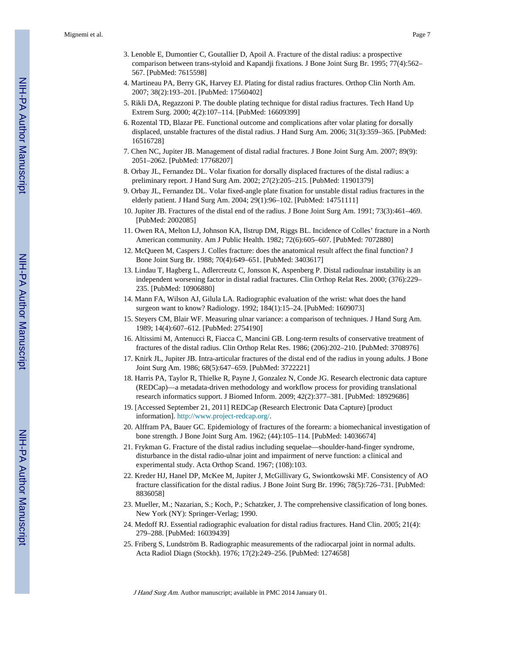- 3. Lenoble E, Dumontier C, Goutallier D, Apoil A. Fracture of the distal radius: a prospective comparison between trans-styloid and Kapandji fixations. J Bone Joint Surg Br. 1995; 77(4):562– 567. [PubMed: 7615598]
- 4. Martineau PA, Berry GK, Harvey EJ. Plating for distal radius fractures. Orthop Clin North Am. 2007; 38(2):193–201. [PubMed: 17560402]
- 5. Rikli DA, Regazzoni P. The double plating technique for distal radius fractures. Tech Hand Up Extrem Surg. 2000; 4(2):107–114. [PubMed: 16609399]
- 6. Rozental TD, Blazar PE. Functional outcome and complications after volar plating for dorsally displaced, unstable fractures of the distal radius. J Hand Surg Am. 2006; 31(3):359–365. [PubMed: 16516728]
- 7. Chen NC, Jupiter JB. Management of distal radial fractures. J Bone Joint Surg Am. 2007; 89(9): 2051–2062. [PubMed: 17768207]
- 8. Orbay JL, Fernandez DL. Volar fixation for dorsally displaced fractures of the distal radius: a preliminary report. J Hand Surg Am. 2002; 27(2):205–215. [PubMed: 11901379]
- 9. Orbay JL, Fernandez DL. Volar fixed-angle plate fixation for unstable distal radius fractures in the elderly patient. J Hand Surg Am. 2004; 29(1):96–102. [PubMed: 14751111]
- 10. Jupiter JB. Fractures of the distal end of the radius. J Bone Joint Surg Am. 1991; 73(3):461–469. [PubMed: 2002085]
- 11. Owen RA, Melton LJ, Johnson KA, Ilstrup DM, Riggs BL. Incidence of Colles' fracture in a North American community. Am J Public Health. 1982; 72(6):605–607. [PubMed: 7072880]
- 12. McQueen M, Caspers J. Colles fracture: does the anatomical result affect the final function? J Bone Joint Surg Br. 1988; 70(4):649–651. [PubMed: 3403617]
- 13. Lindau T, Hagberg L, Adlercreutz C, Jonsson K, Aspenberg P. Distal radioulnar instability is an independent worsening factor in distal radial fractures. Clin Orthop Relat Res. 2000; (376):229– 235. [PubMed: 10906880]
- 14. Mann FA, Wilson AJ, Gilula LA. Radiographic evaluation of the wrist: what does the hand surgeon want to know? Radiology. 1992; 184(1):15–24. [PubMed: 1609073]
- 15. Steyers CM, Blair WF. Measuring ulnar variance: a comparison of techniques. J Hand Surg Am. 1989; 14(4):607–612. [PubMed: 2754190]
- 16. Altissimi M, Antenucci R, Fiacca C, Mancini GB. Long-term results of conservative treatment of fractures of the distal radius. Clin Orthop Relat Res. 1986; (206):202–210. [PubMed: 3708976]
- 17. Knirk JL, Jupiter JB. Intra-articular fractures of the distal end of the radius in young adults. J Bone Joint Surg Am. 1986; 68(5):647–659. [PubMed: 3722221]
- 18. Harris PA, Taylor R, Thielke R, Payne J, Gonzalez N, Conde JG. Research electronic data capture (REDCap)—a metadata-driven methodology and workflow process for providing translational research informatics support. J Biomed Inform. 2009; 42(2):377–381. [PubMed: 18929686]
- 19. [Accessed September 21, 2011] REDCap (Research Electronic Data Capture) [product information]. [http://www.project-redcap.org/.](http://www.project-redcap.org/)
- 20. Alffram PA, Bauer GC. Epidemiology of fractures of the forearm: a biomechanical investigation of bone strength. J Bone Joint Surg Am. 1962; (44):105–114. [PubMed: 14036674]
- 21. Frykman G. Fracture of the distal radius including sequelae—shoulder-hand-finger syndrome, disturbance in the distal radio-ulnar joint and impairment of nerve function: a clinical and experimental study. Acta Orthop Scand. 1967; (108):103.
- 22. Kreder HJ, Hanel DP, McKee M, Jupiter J, McGillivary G, Swiontkowski MF. Consistency of AO fracture classification for the distal radius. J Bone Joint Surg Br. 1996; 78(5):726–731. [PubMed: 8836058]
- 23. Mueller, M.; Nazarian, S.; Koch, P.; Schatzker, J. The comprehensive classification of long bones. New York (NY): Springer-Verlag; 1990.
- 24. Medoff RJ. Essential radiographic evaluation for distal radius fractures. Hand Clin. 2005; 21(4): 279–288. [PubMed: 16039439]
- 25. Friberg S, Lundström B. Radiographic measurements of the radiocarpal joint in normal adults. Acta Radiol Diagn (Stockh). 1976; 17(2):249–256. [PubMed: 1274658]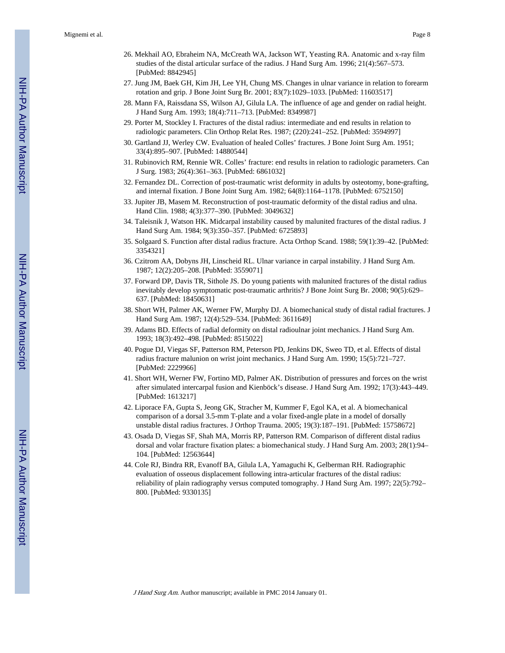- 26. Mekhail AO, Ebraheim NA, McCreath WA, Jackson WT, Yeasting RA. Anatomic and x-ray film studies of the distal articular surface of the radius. J Hand Surg Am. 1996; 21(4):567–573. [PubMed: 8842945]
- 27. Jung JM, Baek GH, Kim JH, Lee YH, Chung MS. Changes in ulnar variance in relation to forearm rotation and grip. J Bone Joint Surg Br. 2001; 83(7):1029–1033. [PubMed: 11603517]
- 28. Mann FA, Raissdana SS, Wilson AJ, Gilula LA. The influence of age and gender on radial height. J Hand Surg Am. 1993; 18(4):711–713. [PubMed: 8349987]
- 29. Porter M, Stockley I. Fractures of the distal radius: intermediate and end results in relation to radiologic parameters. Clin Orthop Relat Res. 1987; (220):241–252. [PubMed: 3594997]
- 30. Gartland JJ, Werley CW. Evaluation of healed Colles' fractures. J Bone Joint Surg Am. 1951; 33(4):895–907. [PubMed: 14880544]
- 31. Rubinovich RM, Rennie WR. Colles' fracture: end results in relation to radiologic parameters. Can J Surg. 1983; 26(4):361–363. [PubMed: 6861032]
- 32. Fernandez DL. Correction of post-traumatic wrist deformity in adults by osteotomy, bone-grafting, and internal fixation. J Bone Joint Surg Am. 1982; 64(8):1164–1178. [PubMed: 6752150]
- 33. Jupiter JB, Masem M. Reconstruction of post-traumatic deformity of the distal radius and ulna. Hand Clin. 1988; 4(3):377–390. [PubMed: 3049632]
- 34. Taleisnik J, Watson HK. Midcarpal instability caused by malunited fractures of the distal radius. J Hand Surg Am. 1984; 9(3):350–357. [PubMed: 6725893]
- 35. Solgaard S. Function after distal radius fracture. Acta Orthop Scand. 1988; 59(1):39–42. [PubMed: 3354321]
- 36. Czitrom AA, Dobyns JH, Linscheid RL. Ulnar variance in carpal instability. J Hand Surg Am. 1987; 12(2):205–208. [PubMed: 3559071]
- 37. Forward DP, Davis TR, Sithole JS. Do young patients with malunited fractures of the distal radius inevitably develop symptomatic post-traumatic arthritis? J Bone Joint Surg Br. 2008; 90(5):629– 637. [PubMed: 18450631]
- 38. Short WH, Palmer AK, Werner FW, Murphy DJ. A biomechanical study of distal radial fractures. J Hand Surg Am. 1987; 12(4):529–534. [PubMed: 3611649]
- 39. Adams BD. Effects of radial deformity on distal radioulnar joint mechanics. J Hand Surg Am. 1993; 18(3):492–498. [PubMed: 8515022]
- 40. Pogue DJ, Viegas SF, Patterson RM, Peterson PD, Jenkins DK, Sweo TD, et al. Effects of distal radius fracture malunion on wrist joint mechanics. J Hand Surg Am. 1990; 15(5):721–727. [PubMed: 2229966]
- 41. Short WH, Werner FW, Fortino MD, Palmer AK. Distribution of pressures and forces on the wrist after simulated intercarpal fusion and Kienböck's disease. J Hand Surg Am. 1992; 17(3):443–449. [PubMed: 1613217]
- 42. Liporace FA, Gupta S, Jeong GK, Stracher M, Kummer F, Egol KA, et al. A biomechanical comparison of a dorsal 3.5-mm T-plate and a volar fixed-angle plate in a model of dorsally unstable distal radius fractures. J Orthop Trauma. 2005; 19(3):187–191. [PubMed: 15758672]
- 43. Osada D, Viegas SF, Shah MA, Morris RP, Patterson RM. Comparison of different distal radius dorsal and volar fracture fixation plates: a biomechanical study. J Hand Surg Am. 2003; 28(1):94– 104. [PubMed: 12563644]
- 44. Cole RJ, Bindra RR, Evanoff BA, Gilula LA, Yamaguchi K, Gelberman RH. Radiographic evaluation of osseous displacement following intra-articular fractures of the distal radius: reliability of plain radiography versus computed tomography. J Hand Surg Am. 1997; 22(5):792– 800. [PubMed: 9330135]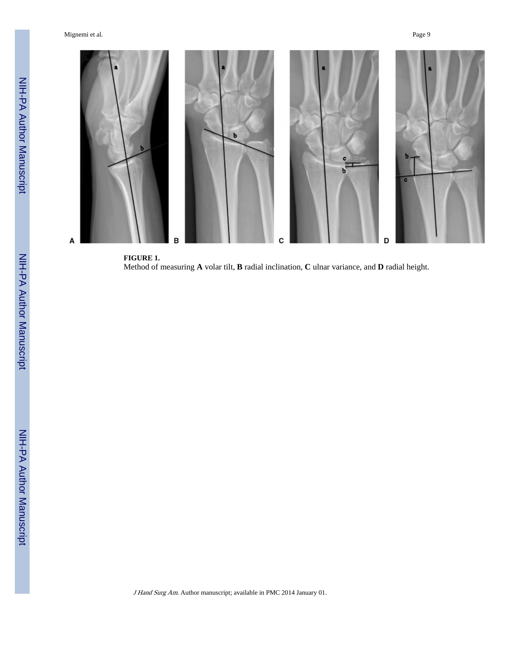Mignemi et al. Page 9



**FIGURE 1.** Method of measuring **A** volar tilt, **B** radial inclination, **C** ulnar variance, and **D** radial height.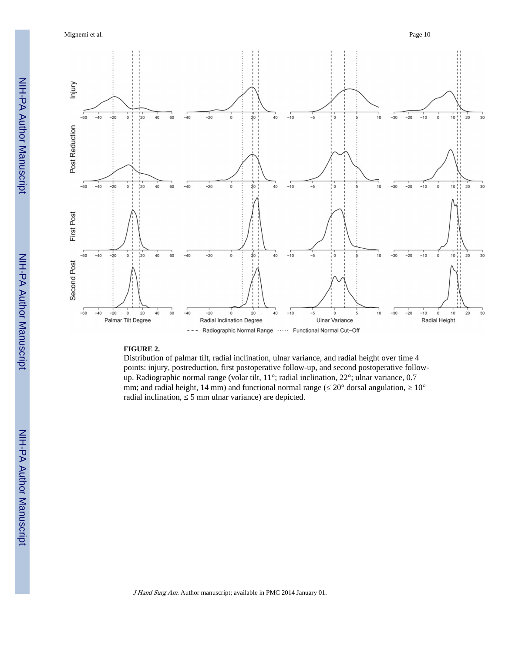Mignemi et al. Page 10



#### **FIGURE 2.**

Distribution of palmar tilt, radial inclination, ulnar variance, and radial height over time 4 points: injury, postreduction, first postoperative follow-up, and second postoperative followup. Radiographic normal range (volar tilt, 11°; radial inclination, 22°; ulnar variance, 0.7 mm; and radial height, 14 mm) and functional normal range ( $20^{\circ}$  dorsal angulation,  $10^{\circ}$ radial inclination, ≤ 5 mm ulnar variance) are depicted.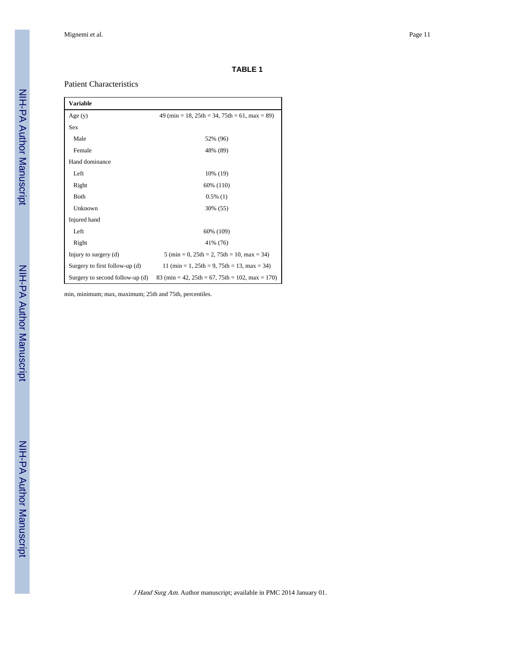#### **TABLE 1**

#### Patient Characteristics

| Variable                        |                                                                                  |
|---------------------------------|----------------------------------------------------------------------------------|
| Age $(y)$                       | $49 \text{ (min} = 18, 25 \text{th} = 34, 75 \text{th} = 61, \text{max} = 89)$   |
| <b>Sex</b>                      |                                                                                  |
| Male                            | 52% (96)                                                                         |
| Female                          | 48% (89)                                                                         |
| Hand dominance                  |                                                                                  |
| Left                            | 10% (19)                                                                         |
| Right                           | 60% (110)                                                                        |
| Both                            | $0.5\%$ (1)                                                                      |
| Unknown                         | 30% (55)                                                                         |
| Injured hand                    |                                                                                  |
| Left                            | 60% (109)                                                                        |
| Right                           | 41% (76)                                                                         |
| Injury to surgery (d)           | $5 \text{ (min } = 0, 25 \text{th } = 2, 75 \text{th } = 10, \text{ max } = 34)$ |
| Surgery to first follow-up (d)  | 11 (min = 1, $25th = 9$ , $75th = 13$ , max = 34)                                |
| Surgery to second follow-up (d) | 83 (min = 42, $25th = 67$ , $75th = 102$ , max = 170)                            |

min, minimum; max, maximum; 25th and 75th, percentiles.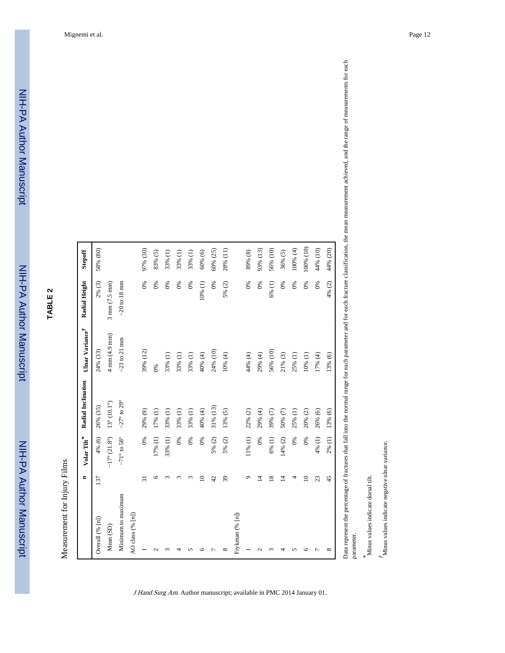|                    | $\blacksquare$  | Volar Tilt*                      | Radial Inclination          | Ulnar Variance $\vec{r}$        | Radial Height                   | Stepoff   |
|--------------------|-----------------|----------------------------------|-----------------------------|---------------------------------|---------------------------------|-----------|
| Overall (% [n])    | 137             | 4% (6)                           | 26% (35)                    | 24% (33)                        | 2% (3)                          | 58% (80)  |
| Mean (SD)          |                 | $-17^{\circ}$ (21.8 $^{\circ}$ ) | $13^{\circ} (10.1^{\circ})$ | $4 \text{ mm} (4.9 \text{ mm})$ | $3 \text{ mm} (7.5 \text{ mm})$ |           |
| Minimum to maximum |                 | $-71^\circ$ to 58°               | $-27^\circ$ to $29^\circ$   | $-23$ to 21 mm                  | $-20$ to 18 mm                  |           |
| AO class (% [n])   |                 |                                  |                             |                                 |                                 |           |
|                    | $\overline{31}$ | 0%                               | 29% (9)                     | 39% (12)                        | 0%                              | 97% (30)  |
| $\sim$             | G               | 17% (1)                          | 17% (1)                     | 0%                              | 0%                              | 83% (5)   |
| $\sim$             | $\mathfrak{m}$  | 33% (1)                          | 33% (1)                     | 33% (1)                         | 0%                              | 33% (1)   |
|                    | r               | 0%                               | 33% (1)                     | 33% (1)                         | 0%                              | 33% (1)   |
|                    | 3               | 0%                               | 33% (1)                     | 33% (1)                         | 0%                              | 33% (1)   |
| c                  | $\supseteq$     | 0%                               | 40% (4)                     | 40% (4)                         | 10% (1)                         | 60% (6)   |
|                    | 42              | 5% (2)                           | 31% (13)                    | 24% (10)                        | 0%                              | 60% (25)  |
| ${}^{\circ}$       | 39              | 5% (2)                           | 13% (5)                     | 10% (4)                         | 5% (2)                          | 28% (11)  |
| Frykman (% [n])    |                 |                                  |                             |                                 |                                 |           |
|                    | $\circ$         | 11% (1)                          | 22% (2)                     | 44% (4)                         | 0%                              | 89% (8)   |
|                    | $\vec{v}$       | 0%                               | 29% (4)                     | 29% (4)                         | 0%                              | 93% (13)  |
|                    | $\overline{18}$ | 6% (1)                           | 39% (7)                     | 56% (10)                        | 6% (1)                          | 56% (10)  |
|                    | $\overline{4}$  | 14% (2)                          | $50\%$ $(7)$                | $21\% (3)$                      | 0%                              | 36% (5)   |
|                    | 4               | 0%                               | 25% (1)                     | 25% (1)                         | 0%                              | 100% (4)  |
| c                  | $\overline{a}$  | 0%                               | 20% (2)                     | 10% (1)                         | 0%                              | 100% (10) |
|                    | 23              | 4% (1)                           | 26% (6)                     | 17% (4)                         | 0%                              | 44% (10)  |
| $\infty$           | 45              | 2% (1)                           | 13% (6)                     | 13% (6)                         | 4% (2)                          | 44% (20)  |

J Hand Surg Am. Author manuscript; available in PMC 2014 January 01.

Data represent the percentage of fractures that fall into the normal range for each parameter and for each fracture classification, the mean measurement achieved, and the range of measurements for each Data represent the percentage of fractures that fall into the normal range for each parameter and for each fracture classification, the mean measurement achieved, and the range of measurements for each parameter. parameter.

\* Minus values indicate dorsal tilt. Minus values indicate dorsal tilt.  $\dot{r}$  Minus values indicate negative ulnar variance. Minus values indicate negative ulnar variance.

**TABLE 2**

NIH-PA Author Manuscript

NIH-PA Author Manuscript

NIH-PA Author Manuscript

NIH-PA Author Manuscript

Measurement for Injury Films Measurement for Injury Films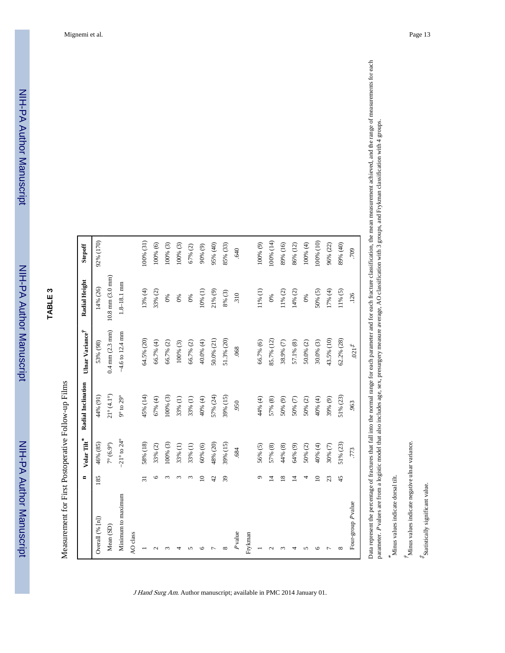|                          | $\blacksquare$  | $\ensuremath{\text{Volar}}\xspace\ensuremath{\text{Tilt}}^*$ | Radial Inclination          | Ulnar Variance $\vec{r}$          | Radial Height                      | Stepoff    |
|--------------------------|-----------------|--------------------------------------------------------------|-----------------------------|-----------------------------------|------------------------------------|------------|
| Overall (% [n])          | 185             | 46% (85)                                                     | 44% (91)                    | 53% (98)                          | 14% (26)                           | 92% (170)  |
| Mean (SD)                |                 | $7^\circ\,(6.9^\circ)$                                       | $21^{\circ}$ (4.1°)         | $0.4 \text{ mm} (2.3 \text{ mm})$ | $10.8 \text{ mm} (3.0 \text{ mm})$ |            |
| Minimum to maximum       |                 | $-21^{\circ}$ to $24^{\circ}$                                | $9^{\circ}$ to $29^{\circ}$ | $-4.6$ to 12.4 mm                 | $1.8 - 18.1$ mm                    |            |
| AO class                 |                 |                                                              |                             |                                   |                                    |            |
|                          | $\overline{31}$ | 58% (18)                                                     | 45% (14)                    | 64.5% (20)                        | 13% (4)                            | 100% (31)  |
| $\overline{\mathcal{C}}$ | ৩               | 33% (2)                                                      | 67%(4)                      | 66.7% (4)                         | 33% (2)                            | 100% (6)   |
|                          |                 | $100\% (3)$                                                  | 100% (3)                    | 66.7% (2)                         | $0\%$                              | 100% (3)   |
|                          | $\infty$        | 33% (1)                                                      | 33% (1)                     | $100%$ (3)                        | 0%                                 | $100%$ (3) |
| S                        | $\sim$          | 33% (1)                                                      | 33% (1)                     | 66.7% (2)                         | 0%                                 | 67% (2)    |
| $\circ$                  | $\subseteq$     | 60% (6)                                                      | 40% (4)                     | 40.0% (4)                         | 10% (1)                            | $90\% (9)$ |
|                          | 42              | 48% (20)                                                     | 57% (24)                    | 50.0% (21)                        | $21\% (9)$                         | 95% (40)   |
| $\infty$                 | 39              | 39% (15)                                                     | 39% (15)                    | 51.3% (20)                        | 8% (3)                             | 85% (33)   |
| $P$ value                |                 | .684                                                         | 950                         | .068                              | 310                                | .640       |
| Frykman                  |                 |                                                              |                             |                                   |                                    |            |
|                          | ᡋ               | 56% (5)                                                      | 44% (4)                     | 66.7% (6)                         | $11\% (1)$                         | 100% (9)   |
| $\mathbf{\sim}$          | 4               | 57% (8)                                                      | 57% (8)                     | 85.7% (12)                        | 0%                                 | 100% (14)  |
| $\infty$                 | $\overline{18}$ | 44% (8)                                                      | 50% (9)                     | 38.9% (7)                         | $11\%$ (2)                         | 89% (16)   |
| 4                        | 호               | 64% (9)                                                      | 50%(7)                      | 57.1% (8)                         | 14% (2)                            | 86% (12)   |
| S                        | 4               | $50\% (2)$                                                   | $50\% (2)$                  | $50.0\%$ (2)                      | 0%                                 | 100% (4)   |
| ৩                        | $\supseteq$     | 40% (4)                                                      | 40% (4)                     | $30.0\%$ (3)                      | $50\% (5)$                         | 100% (10)  |
|                          | 23              | $30\% (7)$                                                   | 39% (9)                     | 43.5% (10)                        | 17% (4)                            | 96% (22)   |
| $\infty$                 | 45              | 51% (23)                                                     | 51% (23)                    | 62.2% (28)                        | $11\% (5)$                         | 89% (40)   |
| Four-group Pvalue        |                 | .773                                                         | .963                        | $021^{\ddagger}$                  | .126                               | 709        |

Data represent the percentage of fractures that fall into the normal range for each parameter and for each fracture classification, the mean measurement achieved, and the range of measurements for each Data represent the percentage of fractures that fall into the normal range for each parameter and for each fracture classification, the mean measurement achieved, and the range of measurements for each parameter. Pvalues are from a logistic model that also includes age, sex, presurgery measure average, AO classification with 3 groups, and Frykman classification with 4 groups. P values are from a logistic model that also includes age, sex, presurgery measure average, AO classification with 3 groups, and Frykman classification with 4 groups. parameter.

\* Minus values indicate dorsal tilt. Minus values indicate dorsal tilt.

 $\H$  Minus values indicate negative ulnar variance. Minus values indicate negative ulnar variance.

 $\displaystyle{{}^{\displaystyle{*}}\!\!S}$  tatistically significant value.  $*$ Statistically significant value.

**TABLE 3**

NIH-PA Author Manuscript

NIH-PA Author Manuscript

NIH-PA Author Manuscript

NIH-PA Author Manuscript

Measurement for First Postoperative Follow-up Films Measurement for First Postoperative Follow-up Films